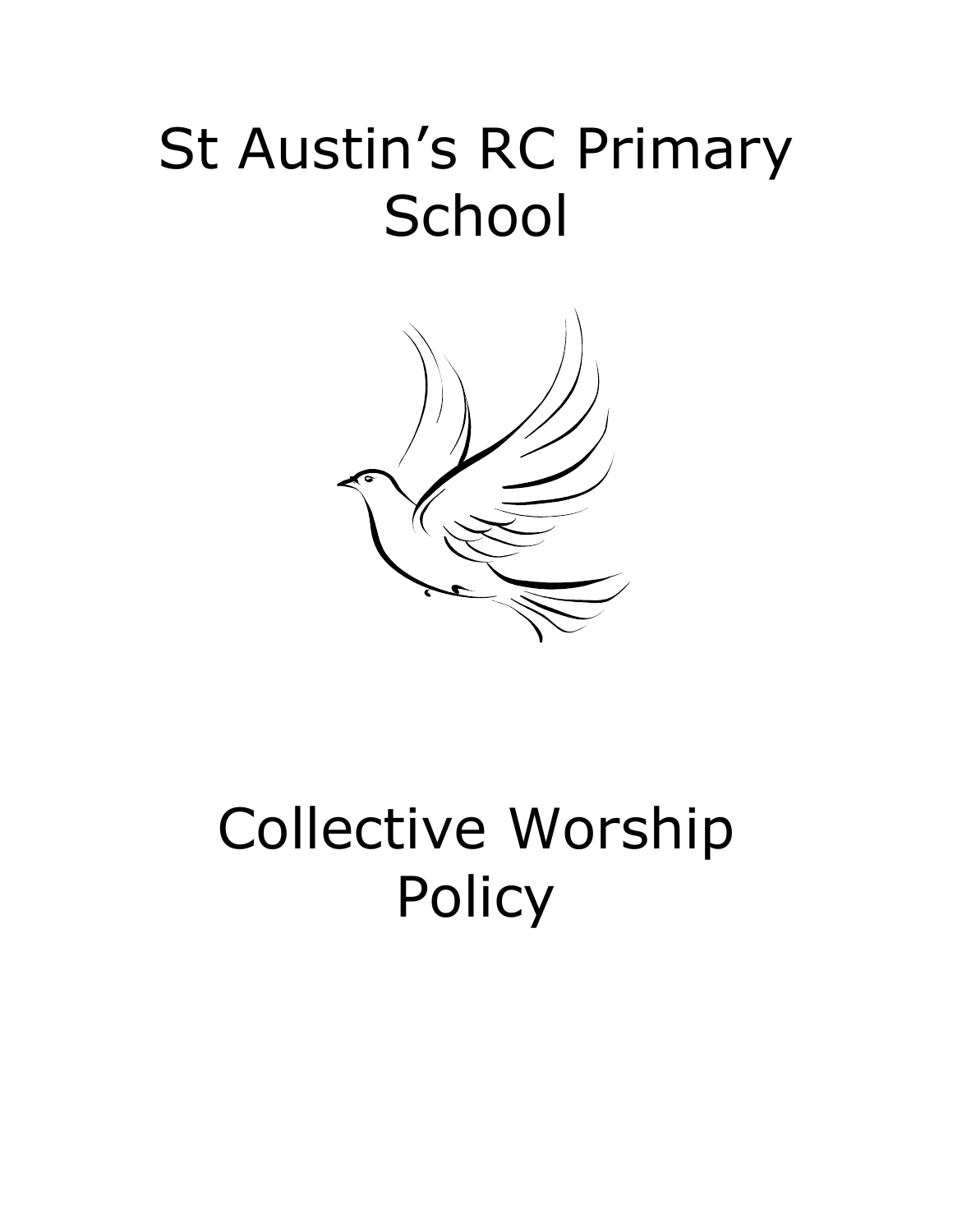# St Austin's RC Primary **School**



# Collective Worship **Policy**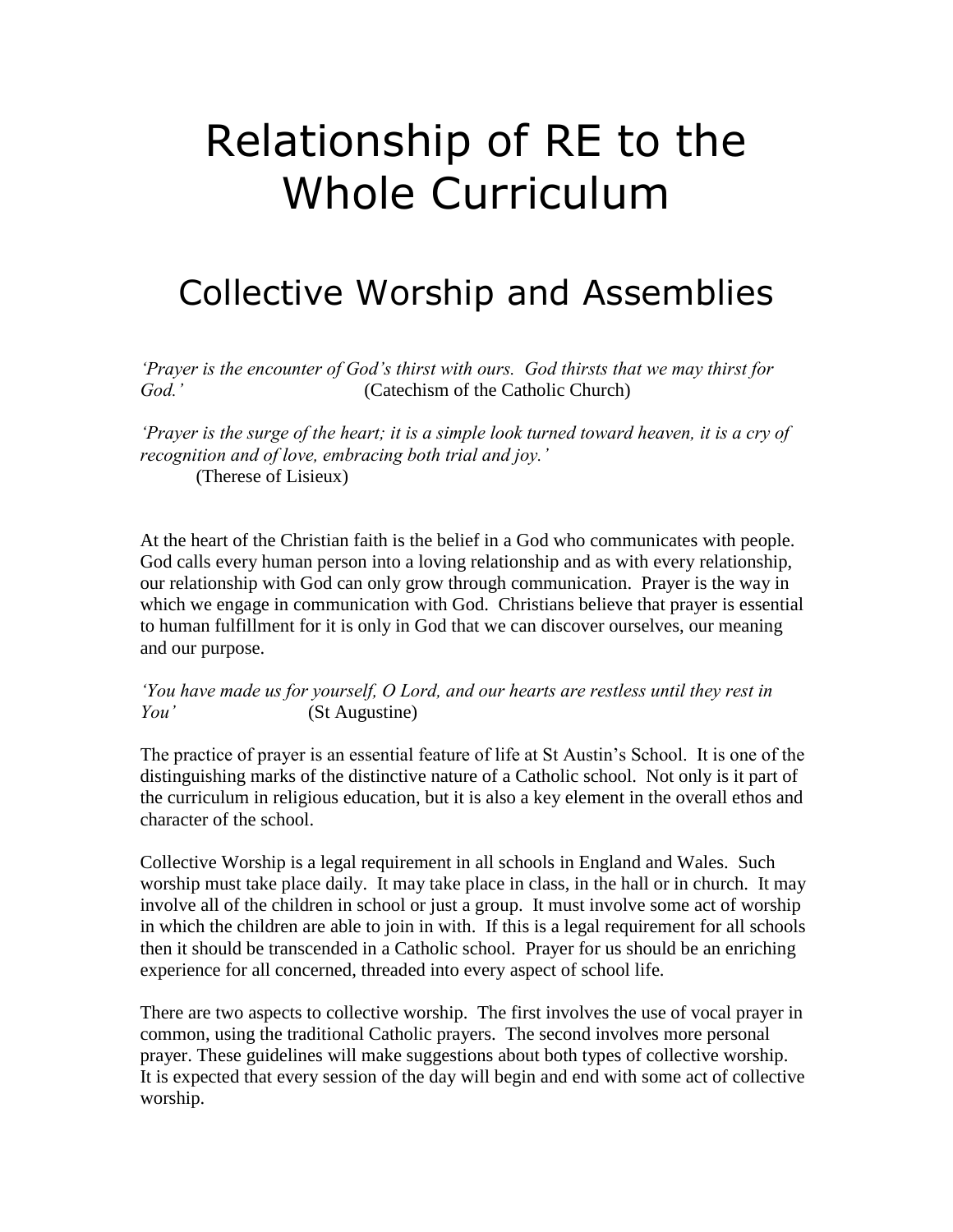# Relationship of RE to the Whole Curriculum

### Collective Worship and Assemblies

*'Prayer is the encounter of God's thirst with ours. God thirsts that we may thirst for God.'* (Catechism of the Catholic Church)

*'Prayer is the surge of the heart; it is a simple look turned toward heaven, it is a cry of recognition and of love, embracing both trial and joy.'* (Therese of Lisieux)

At the heart of the Christian faith is the belief in a God who communicates with people. God calls every human person into a loving relationship and as with every relationship, our relationship with God can only grow through communication. Prayer is the way in which we engage in communication with God. Christians believe that prayer is essential to human fulfillment for it is only in God that we can discover ourselves, our meaning and our purpose.

*'You have made us for yourself, O Lord, and our hearts are restless until they rest in You'* (St Augustine)

The practice of prayer is an essential feature of life at St Austin's School. It is one of the distinguishing marks of the distinctive nature of a Catholic school. Not only is it part of the curriculum in religious education, but it is also a key element in the overall ethos and character of the school.

Collective Worship is a legal requirement in all schools in England and Wales. Such worship must take place daily. It may take place in class, in the hall or in church. It may involve all of the children in school or just a group. It must involve some act of worship in which the children are able to join in with. If this is a legal requirement for all schools then it should be transcended in a Catholic school. Prayer for us should be an enriching experience for all concerned, threaded into every aspect of school life.

There are two aspects to collective worship. The first involves the use of vocal prayer in common, using the traditional Catholic prayers. The second involves more personal prayer. These guidelines will make suggestions about both types of collective worship. It is expected that every session of the day will begin and end with some act of collective worship.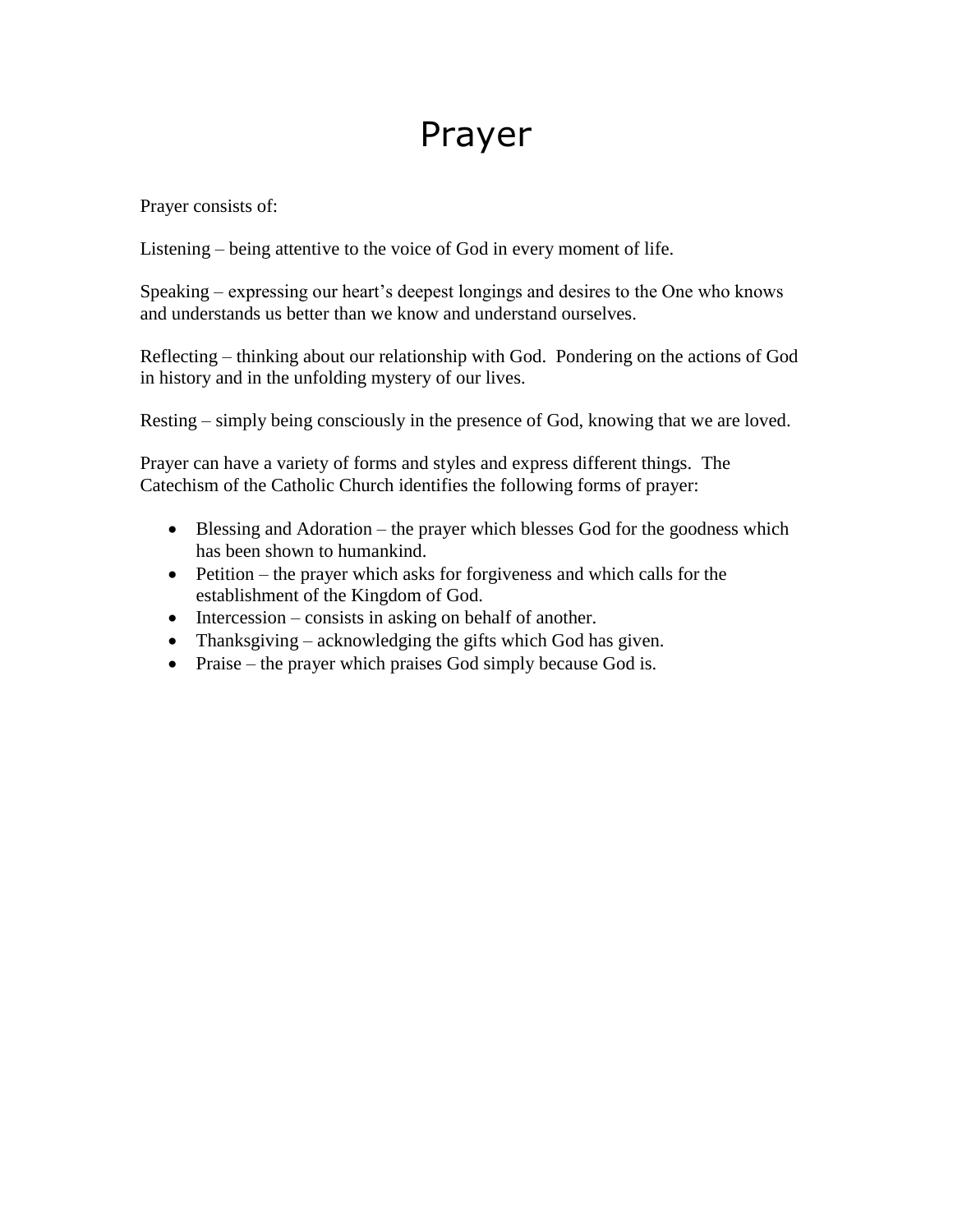## Prayer

Prayer consists of:

Listening – being attentive to the voice of God in every moment of life.

Speaking – expressing our heart's deepest longings and desires to the One who knows and understands us better than we know and understand ourselves.

Reflecting – thinking about our relationship with God. Pondering on the actions of God in history and in the unfolding mystery of our lives.

Resting – simply being consciously in the presence of God, knowing that we are loved.

Prayer can have a variety of forms and styles and express different things. The Catechism of the Catholic Church identifies the following forms of prayer:

- Blessing and Adoration the prayer which blesses God for the goodness which has been shown to humankind.
- Petition the prayer which asks for forgiveness and which calls for the establishment of the Kingdom of God.
- $\bullet$  Intercession consists in asking on behalf of another.
- Thanksgiving acknowledging the gifts which God has given.
- Praise the prayer which praises God simply because God is.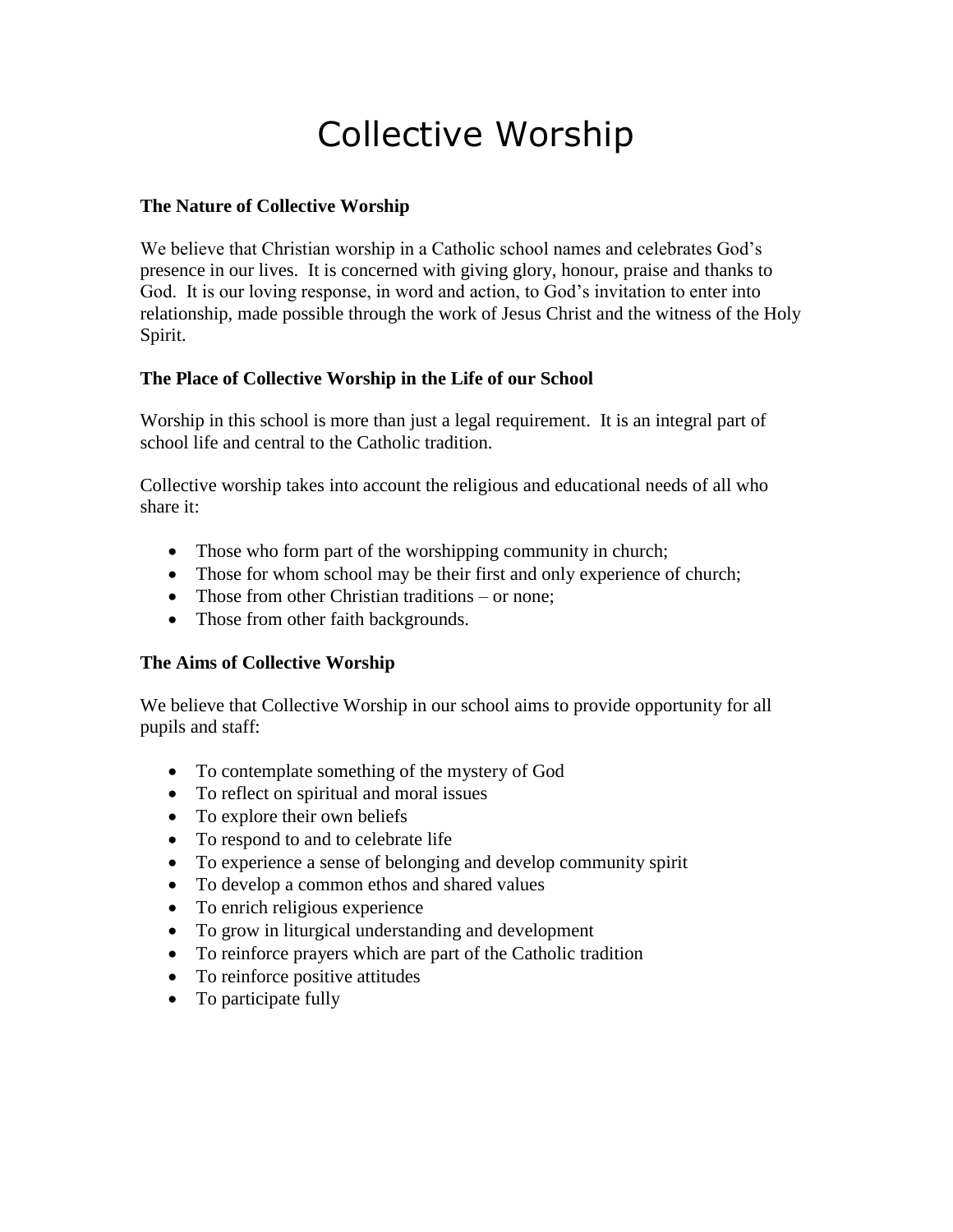## Collective Worship

#### **The Nature of Collective Worship**

We believe that Christian worship in a Catholic school names and celebrates God's presence in our lives. It is concerned with giving glory, honour, praise and thanks to God. It is our loving response, in word and action, to God's invitation to enter into relationship, made possible through the work of Jesus Christ and the witness of the Holy Spirit.

#### **The Place of Collective Worship in the Life of our School**

Worship in this school is more than just a legal requirement. It is an integral part of school life and central to the Catholic tradition.

Collective worship takes into account the religious and educational needs of all who share it:

- Those who form part of the worshipping community in church;
- Those for whom school may be their first and only experience of church;
- Those from other Christian traditions or none;
- Those from other faith backgrounds.

#### **The Aims of Collective Worship**

We believe that Collective Worship in our school aims to provide opportunity for all pupils and staff:

- To contemplate something of the mystery of God
- To reflect on spiritual and moral issues
- To explore their own beliefs
- To respond to and to celebrate life
- To experience a sense of belonging and develop community spirit
- To develop a common ethos and shared values
- To enrich religious experience
- To grow in liturgical understanding and development
- To reinforce prayers which are part of the Catholic tradition
- To reinforce positive attitudes
- To participate fully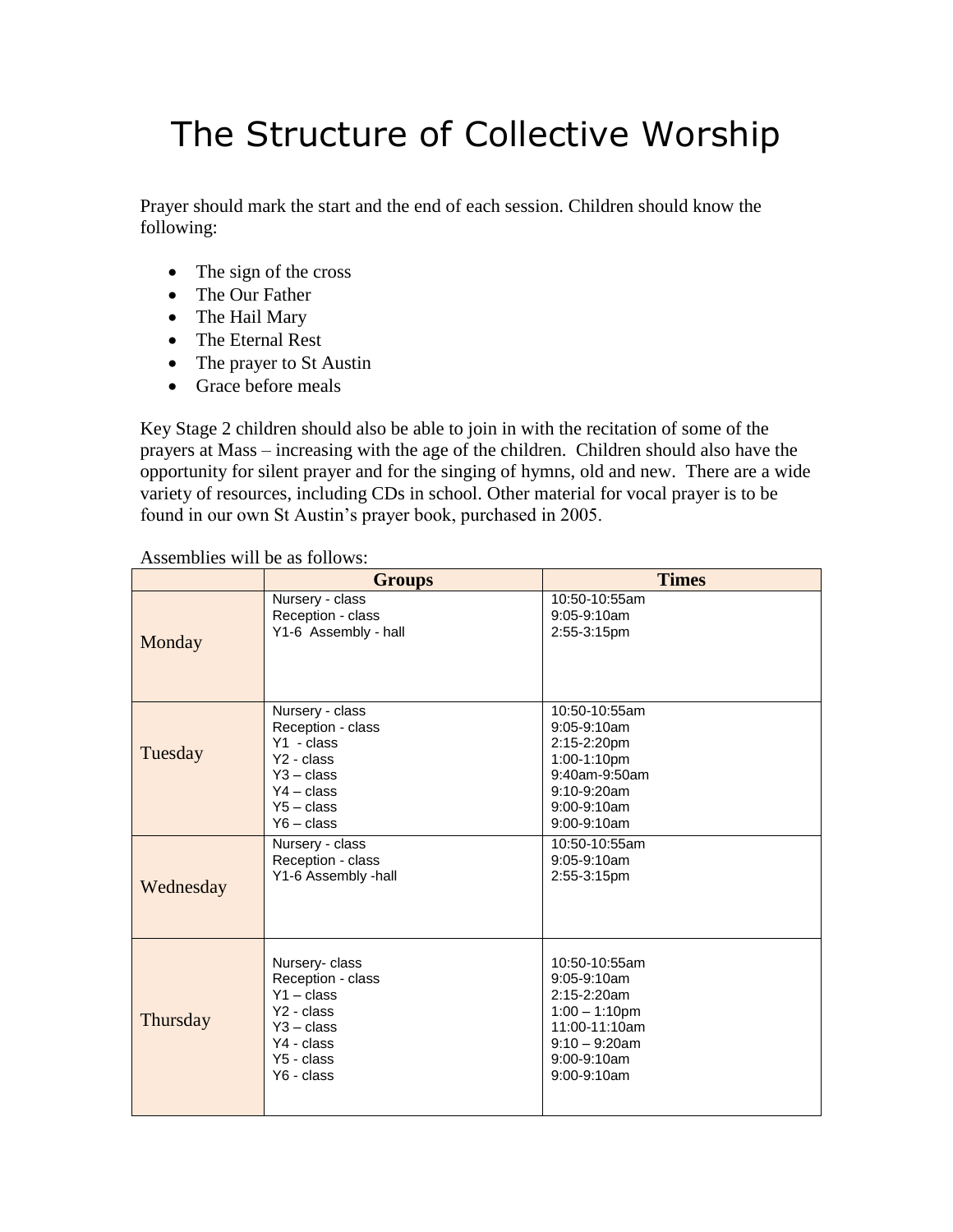# The Structure of Collective Worship

Prayer should mark the start and the end of each session. Children should know the following:

- The sign of the cross
- The Our Father
- The Hail Mary
- The Eternal Rest
- The prayer to St Austin
- Grace before meals

Key Stage 2 children should also be able to join in with the recitation of some of the prayers at Mass – increasing with the age of the children. Children should also have the opportunity for silent prayer and for the singing of hymns, old and new. There are a wide variety of resources, including CDs in school. Other material for vocal prayer is to be found in our own St Austin's prayer book, purchased in 2005.

#### Assemblies will be as follows:

|           | <b>Groups</b>                                                                                                                                                     | <b>Times</b>                                                                                                                                            |
|-----------|-------------------------------------------------------------------------------------------------------------------------------------------------------------------|---------------------------------------------------------------------------------------------------------------------------------------------------------|
| Monday    | Nursery - class<br>Reception - class<br>Y1-6 Assembly - hall                                                                                                      | 10:50-10:55am<br>$9:05-9:10am$<br>2:55-3:15pm                                                                                                           |
| Tuesday   | Nursery - class<br>Reception - class<br>$Y1 - class$<br>Y <sub>2</sub> - class<br>$Y3 - class$<br>$Y4 - class$<br>$Y5 - class$<br>$Y6 - class$<br>Nursery - class | 10:50-10:55am<br>$9:05-9:10am$<br>2:15-2:20pm<br>1:00-1:10pm<br>9:40am-9:50am<br>$9:10 - 9:20$ am<br>$9:00-9:10am$<br>$9:00 - 9:10$ am<br>10:50-10:55am |
| Wednesday | Reception - class<br>Y1-6 Assembly -hall                                                                                                                          | 9:05-9:10am<br>2:55-3:15pm                                                                                                                              |
| Thursday  | Nursery-class<br>Reception - class<br>$Y1 - class$<br>Y <sub>2</sub> - class<br>$Y3 - class$<br>Y4 - class<br>Y5 - class<br>Y6 - class                            | 10:50-10:55am<br>$9:05-9:10am$<br>2:15-2:20am<br>$1:00 - 1:10$ pm<br>11:00-11:10am<br>$9:10 - 9:20$ am<br>$9:00 - 9:10$ am<br>$9:00-9:10am$             |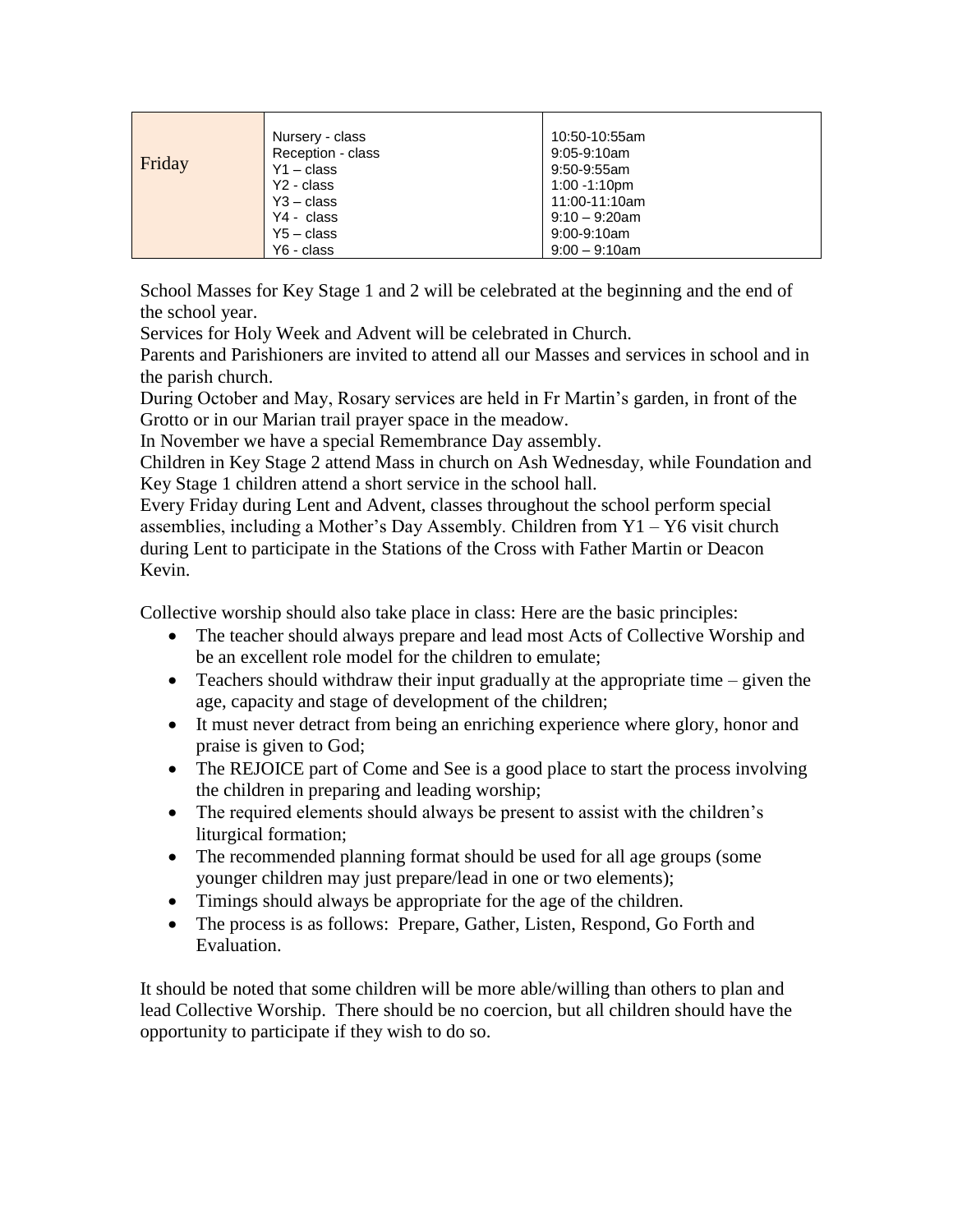| Friday | Nursery - class<br>Reception - class<br>$Y1 - class$<br>Y <sub>2</sub> - class | 10:50-10:55am<br>9:05-9:10am<br>9:50-9:55am<br>1:00 -1:10pm |
|--------|--------------------------------------------------------------------------------|-------------------------------------------------------------|
|        | $Y3 - class$                                                                   | 11:00-11:10am                                               |
|        | Y4 - class                                                                     | $9:10 - 9:20$ am                                            |
|        | $Y5 - class$                                                                   | 9:00-9:10am                                                 |
|        | Y6 - class                                                                     | $9:00 - 9:10$ am                                            |

School Masses for Key Stage 1 and 2 will be celebrated at the beginning and the end of the school year.

Services for Holy Week and Advent will be celebrated in Church.

Parents and Parishioners are invited to attend all our Masses and services in school and in the parish church.

During October and May, Rosary services are held in Fr Martin's garden, in front of the Grotto or in our Marian trail prayer space in the meadow.

In November we have a special Remembrance Day assembly.

Children in Key Stage 2 attend Mass in church on Ash Wednesday, while Foundation and Key Stage 1 children attend a short service in the school hall.

Every Friday during Lent and Advent, classes throughout the school perform special assemblies, including a Mother's Day Assembly. Children from  $Y1 - Y6$  visit church during Lent to participate in the Stations of the Cross with Father Martin or Deacon Kevin.

Collective worship should also take place in class: Here are the basic principles:

- The teacher should always prepare and lead most Acts of Collective Worship and be an excellent role model for the children to emulate;
- Teachers should withdraw their input gradually at the appropriate time given the age, capacity and stage of development of the children;
- It must never detract from being an enriching experience where glory, honor and praise is given to God;
- The REJOICE part of Come and See is a good place to start the process involving the children in preparing and leading worship;
- The required elements should always be present to assist with the children's liturgical formation;
- The recommended planning format should be used for all age groups (some younger children may just prepare/lead in one or two elements);
- Timings should always be appropriate for the age of the children.
- The process is as follows: Prepare, Gather, Listen, Respond, Go Forth and Evaluation.

It should be noted that some children will be more able/willing than others to plan and lead Collective Worship. There should be no coercion, but all children should have the opportunity to participate if they wish to do so.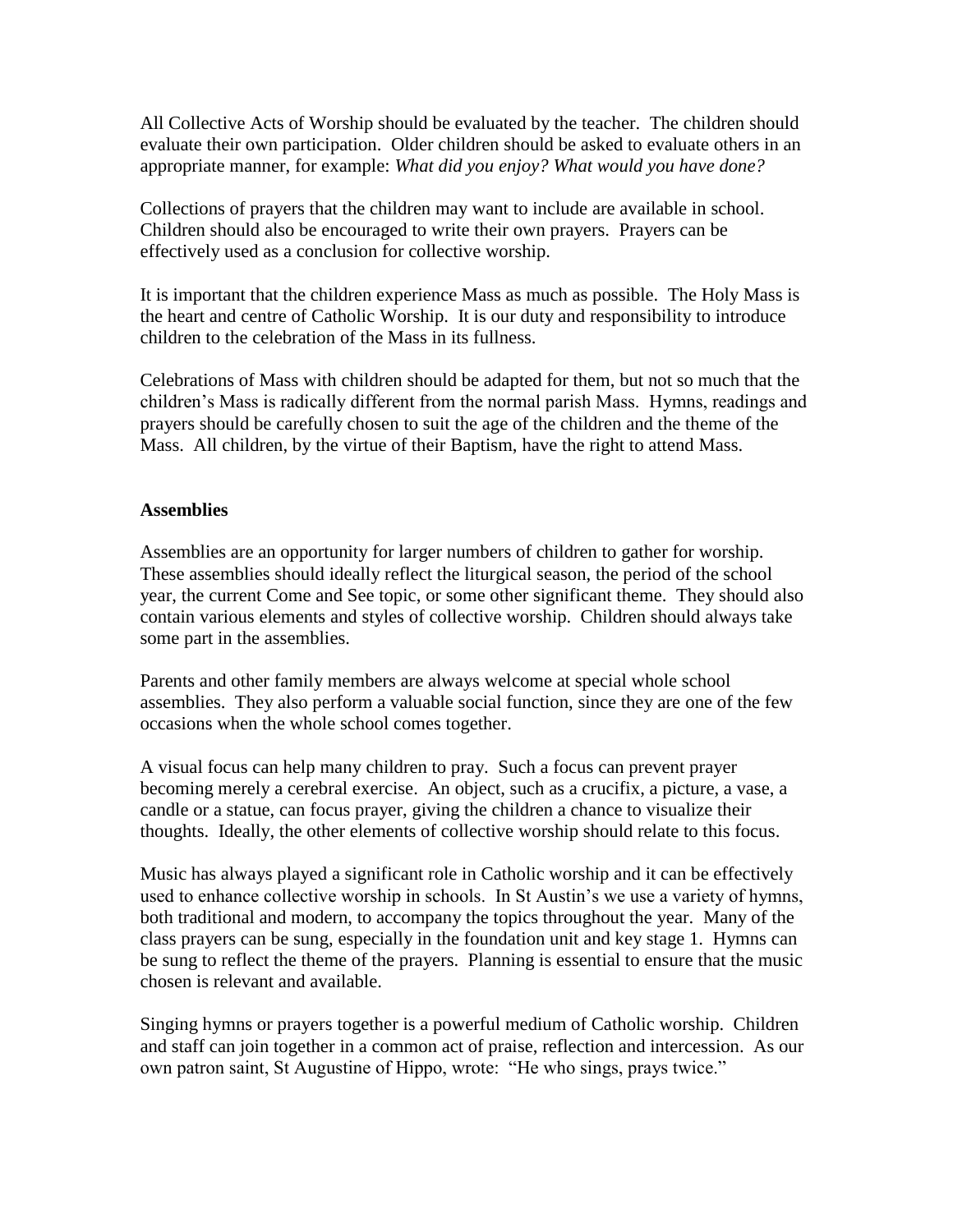All Collective Acts of Worship should be evaluated by the teacher. The children should evaluate their own participation. Older children should be asked to evaluate others in an appropriate manner, for example: *What did you enjoy? What would you have done?*

Collections of prayers that the children may want to include are available in school. Children should also be encouraged to write their own prayers. Prayers can be effectively used as a conclusion for collective worship.

It is important that the children experience Mass as much as possible. The Holy Mass is the heart and centre of Catholic Worship. It is our duty and responsibility to introduce children to the celebration of the Mass in its fullness.

Celebrations of Mass with children should be adapted for them, but not so much that the children's Mass is radically different from the normal parish Mass. Hymns, readings and prayers should be carefully chosen to suit the age of the children and the theme of the Mass. All children, by the virtue of their Baptism, have the right to attend Mass.

#### **Assemblies**

Assemblies are an opportunity for larger numbers of children to gather for worship. These assemblies should ideally reflect the liturgical season, the period of the school year, the current Come and See topic, or some other significant theme. They should also contain various elements and styles of collective worship. Children should always take some part in the assemblies.

Parents and other family members are always welcome at special whole school assemblies. They also perform a valuable social function, since they are one of the few occasions when the whole school comes together.

A visual focus can help many children to pray. Such a focus can prevent prayer becoming merely a cerebral exercise. An object, such as a crucifix, a picture, a vase, a candle or a statue, can focus prayer, giving the children a chance to visualize their thoughts. Ideally, the other elements of collective worship should relate to this focus.

Music has always played a significant role in Catholic worship and it can be effectively used to enhance collective worship in schools. In St Austin's we use a variety of hymns, both traditional and modern, to accompany the topics throughout the year. Many of the class prayers can be sung, especially in the foundation unit and key stage 1. Hymns can be sung to reflect the theme of the prayers. Planning is essential to ensure that the music chosen is relevant and available.

Singing hymns or prayers together is a powerful medium of Catholic worship. Children and staff can join together in a common act of praise, reflection and intercession. As our own patron saint, St Augustine of Hippo, wrote: "He who sings, prays twice."